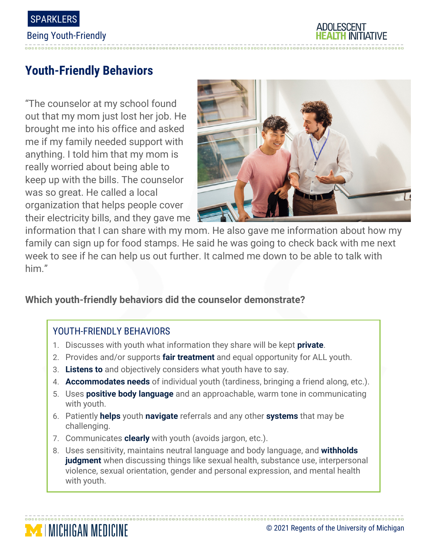

# **Youth-Friendly Behaviors**

"The counselor at my school found out that my mom just lost her job. He brought me into his office and asked me if my family needed support with anything. I told him that my mom is really worried about being able to keep up with the bills. The counselor was so great. He called a local organization that helps people cover their electricity bills, and they gave me



information that I can share with my mom. He also gave me information about how my family can sign up for food stamps. He said he was going to check back with me next week to see if he can help us out further. It calmed me down to be able to talk with him."

## **Which youth-friendly behaviors did the counselor demonstrate?**

## YOUTH-FRIENDLY BEHAVIORS

- 1. Discusses with youth what information they share will be kept **private**.
- 2. Provides and/or supports **fair treatment** and equal opportunity for ALL youth.
- 3. **Listens to** and objectively considers what youth have to say.
- 4. **Accommodates needs** of individual youth (tardiness, bringing a friend along, etc.).
- 5. Uses **positive body language** and an approachable, warm tone in communicating with youth.
- 6. Patiently **helps** youth **navigate** referrals and any other **systems** that may be challenging.
- 7. Communicates **clearly** with youth (avoids jargon, etc.).
- 8. Uses sensitivity, maintains neutral language and body language, and **withholds judgment** when discussing things like sexual health, substance use, interpersonal violence, sexual orientation, gender and personal expression, and mental health with youth.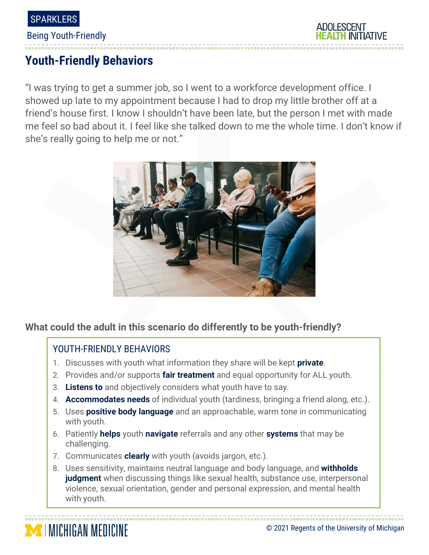

Being Youth-Friendly

## **ADOLESCENT**

# **Youth-Friendly Behaviors**

"I was trying to get a summer job, so I went to a workforce development office. I showed up late to my appointment because I had to drop my little brother off at a friend's house first. I know I shouldn't have been late, but the person I met with made me feel so bad about it. I feel like she talked down to me the whole time. I don't know if she's really going to help me or not."



## **What could the adult in this scenario do differently to be youth-friendly?**

#### YOUTH-FRIENDLY BEHAVIORS

**MICHIGAN MEDICINE** 

- 1. Discusses with youth what information they share will be kept **private**.
- 2. Provides and/or supports **fair treatment** and equal opportunity for ALL youth.
- 3. **Listens to** and objectively considers what youth have to say.
- 4. **Accommodates needs** of individual youth (tardiness, bringing a friend along, etc.).
- 5. Uses **positive body language** and an approachable, warm tone in communicating with youth.
- 6. Patiently **helps** youth **navigate** referrals and any other **systems** that may be challenging.
- 7. Communicates **clearly** with youth (avoids jargon, etc.).
- 8. Uses sensitivity, maintains neutral language and body language, and **withholds judgment** when discussing things like sexual health, substance use, interpersonal violence, sexual orientation, gender and personal expression, and mental health with youth.